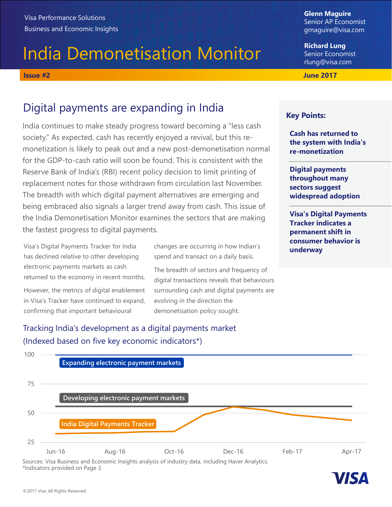# India Demonetisation Monitor Visa Performance Solutions<br>
Business and Economic Insights<br>
India Demonetisation Monitor<br>
Issue #2<br>
Digital payments are expanding in India<br>
Nights:<br>
Digital payments are expanding in India<br>
Rev Points:

Glenn Maguire Senior AP Economist gmaguire@visa.com

Richard Lung Senior Economist rlung@visa.com

# Digital payments are expanding in India

India continues to make steady progress toward becoming a "less cash society." As expected, cash has recently enjoyed a revival, but this remonetization is likely to peak out and a new post-demonetisation normal for the GDP-to-cash ratio will soon be found. This is consistent with the Reserve Bank of India's (RBI) recent policy decision to limit printing of replacement notes for those withdrawn from circulation last November. The breadth with which digital payment alternatives are emerging and being embraced also signals a larger trend away from cash. This issue of the India Demonetisation Monitor examines the sectors that are making the fastest progress to digital payments.

Visa's Digital Payments Tracker for India and the changes are occurring in how Indian's **Consumer behavior is** has declined relative to other developing electronic payments markets as cash returned to the economy in recent months.

However, the metrics of digital enablement in Visa's Tracker have continued to expand, confirming that important behavioural

changes are occurring in how Indian's spend and transact on a daily basis.

The breadth of sectors and frequency of digital transactions reveals that behaviours surrounding cash and digital payments are evolving in the direction the demonetisation policy sought.

Tracking India's development as a digital payments market (Indexed based on five key economic indicators\*)



Sources: Visa Business and Economic Insights analysis of industry data, including Haver Analytics. \*Indicators provided on Page 3.



## Key Points:

Cash has returned to the system with India's re-monetization

Digital payments throughout many sectors suggest widespread adoption

Visa's Digital Payments Tracker indicates a permanent shift in June 2017<br>
Cash has returned to<br>
the system with India's<br>
re-monetization<br>
Digital payments<br>
throughout many<br>
sectors suggest<br>
widespread adoption<br>
Visa's Digital Payments<br>
Tracker indicates a<br>
permanent shift in<br>
consumer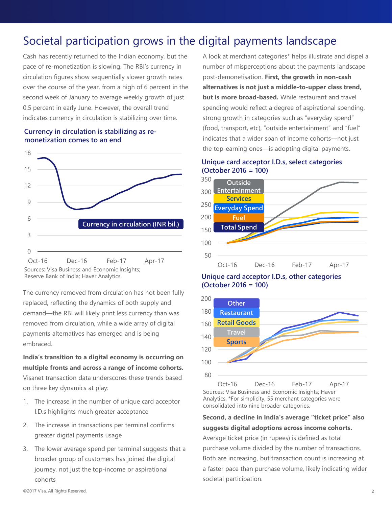# Societal participation grows in the digital payments landscape

Cash has recently returned to the Indian economy, but the pace of re-monetization is slowing. The RBI's currency in circulation figures show sequentially slower growth rates over the course of the year, from a high of 6 percent in the second week of January to average weekly growth of just 0.5 percent in early June. However, the overall trend indicates currency in circulation is stabilizing over time.

### Currency in circulation is stabilizing as remonetization comes to an end



Reserve Bank of India; Haver Analytics.

The currency removed from circulation has not been fully 200 replaced, reflecting the dynamics of both supply and demand—the RBI will likely print less currency than was removed from circulation, while a wide array of digital payments alternatives has emerged and is being embraced. 100<br>
Oct-16 Dec-16 Feb-17 Apr-17<br>
So Cource:<br>
Source:<br>
Source:<br>
Reserve Bank of India; Haver Analytics.<br>
The currency removed from circulation has not been fully<br>
replaced, reflecting the dynamics of both supply and<br>
dema Oct-16 Dec-16 Feb-17 Apr-17 Oct-16<br>
Sources: Visa Business and Economic Insights;<br>
The currency removed from circulation has not been fully<br>
replaced, reflecting the dynamics of both supply and<br>
demand—the RBI will likely The currency removed from circulation has not been fully<br>
streplaced, reflecting the dynamics of both supply and<br>
demand—the RBI will likely print less currency than was<br>
The demand—the RBI will likely print less currency

India's transition to a digital economy is occurring on multiple fronts and across a range of income cohorts. Visanet transaction data underscores these trends based  $80$  Oct-16 on three key dynamics at play:

- I.D.s highlights much greater acceptance
- greater digital payments usage
- broader group of customers has joined the digital journey, not just the top-income or aspirational cohorts

A look at merchant categories\* helps illustrate and dispel a number of misperceptions about the payments landscape post-demonetisation. First, the growth in non-cash alternatives is not just a middle-to-upper class trend, but is more broad-based. While restaurant and travel spending would reflect a degree of aspirational spending, strong growth in categories such as "everyday spend" (food, transport, etc), "outside entertainment" and "fuel" indicates that a wider span of income cohorts—not just the top-earning ones—is adopting digital payments.

## Unique card acceptor I.D.s, select categories (October 2016 = 100)



Unique card acceptor I.D.s, other categories (October 2016 = 100)

![](_page_1_Figure_14.jpeg)

Sources: Visa Business and Economic Insights; Haver Analytics. \*For simplicity, 55 merchant categories were consolidated into nine broader categories.

Second, a decline in India's average "ticket price" also suggests digital adoptions across income cohorts. Average ticket price (in rupees) is defined as total purchase volume divided by the number of transactions. Both are increasing, but transaction count is increasing at a faster pace than purchase volume, likely indicating wider societal participation.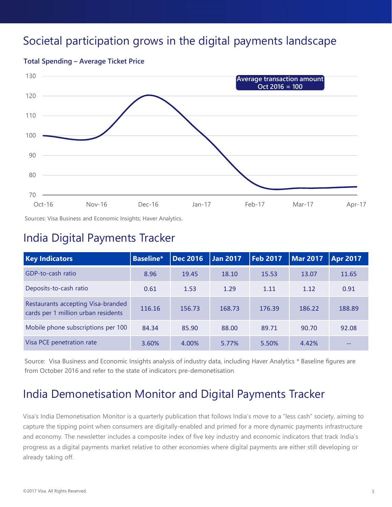# Societal participation grows in the digital payments landscape

![](_page_2_Figure_1.jpeg)

## India Digital Payments Tracker

| 90                                                                        |                                                                                                                                                                                                                                                                                                                                                                                                                                                                                                                                                                                                                                                                                                                                                                                |           |                 |                 |                 |                 |                 |
|---------------------------------------------------------------------------|--------------------------------------------------------------------------------------------------------------------------------------------------------------------------------------------------------------------------------------------------------------------------------------------------------------------------------------------------------------------------------------------------------------------------------------------------------------------------------------------------------------------------------------------------------------------------------------------------------------------------------------------------------------------------------------------------------------------------------------------------------------------------------|-----------|-----------------|-----------------|-----------------|-----------------|-----------------|
| 80                                                                        |                                                                                                                                                                                                                                                                                                                                                                                                                                                                                                                                                                                                                                                                                                                                                                                |           |                 |                 |                 |                 |                 |
| 70<br>Oct-16                                                              | $Nov-16$                                                                                                                                                                                                                                                                                                                                                                                                                                                                                                                                                                                                                                                                                                                                                                       | $Dec-16$  | $Jan-17$        |                 | Feb-17          | Mar-17          | Apr-17          |
|                                                                           | Sources: Visa Business and Economic Insights; Haver Analytics.                                                                                                                                                                                                                                                                                                                                                                                                                                                                                                                                                                                                                                                                                                                 |           |                 |                 |                 |                 |                 |
|                                                                           | <b>India Digital Payments Tracker</b>                                                                                                                                                                                                                                                                                                                                                                                                                                                                                                                                                                                                                                                                                                                                          |           |                 |                 |                 |                 |                 |
| <b>Key Indicators</b>                                                     |                                                                                                                                                                                                                                                                                                                                                                                                                                                                                                                                                                                                                                                                                                                                                                                | Baseline* | <b>Dec 2016</b> | <b>Jan 2017</b> | <b>Feb 2017</b> | <b>Mar 2017</b> | <b>Apr 2017</b> |
| GDP-to-cash ratio                                                         |                                                                                                                                                                                                                                                                                                                                                                                                                                                                                                                                                                                                                                                                                                                                                                                | 8.96      | 19.45           | 18.10           | 15.53           | 13.07           | 11.65           |
| Deposits-to-cash ratio                                                    |                                                                                                                                                                                                                                                                                                                                                                                                                                                                                                                                                                                                                                                                                                                                                                                | 0.61      | 1.53            | 1.29            | 1.11            | 1.12            | 0.91            |
| Restaurants accepting Visa-branded<br>cards per 1 million urban residents |                                                                                                                                                                                                                                                                                                                                                                                                                                                                                                                                                                                                                                                                                                                                                                                | 116.16    | 156.73          | 168.73          | 176.39          | 186.22          | 188.89          |
| Mobile phone subscriptions per 100                                        |                                                                                                                                                                                                                                                                                                                                                                                                                                                                                                                                                                                                                                                                                                                                                                                | 84.34     | 85.90           | 88.00           | 89.71           | 90.70           | 92.08           |
| Visa PCE penetration rate                                                 |                                                                                                                                                                                                                                                                                                                                                                                                                                                                                                                                                                                                                                                                                                                                                                                | 3.60%     | 4.00%           | 5.77%           | 5.50%           | 4.42%           |                 |
| already taking off.                                                       | Source: Visa Business and Economic Insights analysis of industry data, including Haver Analytics * Baseline figures are<br>from October 2016 and refer to the state of indicators pre-demonetisation<br>India Demonetisation Monitor and Digital Payments Tracker<br>Visa's India Demonetisation Monitor is a quarterly publication that follows India's move to a "less cash" society, aiming to<br>capture the tipping point when consumers are digitally-enabled and primed for a more dynamic payments infrastructure<br>and economy. The newsletter includes a composite index of five key industry and economic indicators that track India's<br>progress as a digital payments market relative to other economies where digital payments are either still developing or |           |                 |                 |                 |                 |                 |

# India Demonetisation Monitor and Digital Payments Tracker